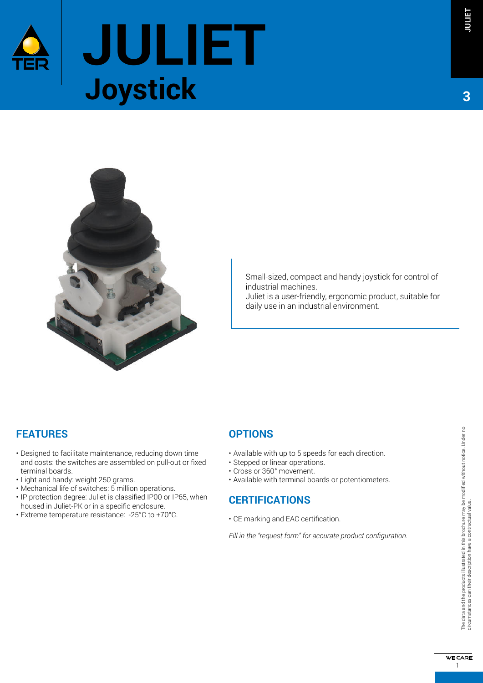



Small-sized, compact and handy joystick for control of industrial machines.

Juliet is a user-friendly, ergonomic product, suitable for daily use in an industrial environment.

### **FEATURES**

- Designed to facilitate maintenance, reducing down time and costs: the switches are assembled on pull-out or fixed terminal boards.
- Light and handy: weight 250 grams.
- Mechanical life of switches: 5 million operations.
- IP protection degree: Juliet is classified IP00 or IP65, when housed in Juliet-PK or in a specific enclosure.
- Extreme temperature resistance: -25°C to +70°C.

### **OPTIONS**

- Available with up to 5 speeds for each direction.
- Stepped or linear operations.
- • Cross or 360° movement.
- Available with terminal boards or potentiometers.

### **CERTIFICATIONS**

• CE marking and EAC certification.

*Fill in the "request form" for accurate product coniguration.*

**3**

**WE CARE** 1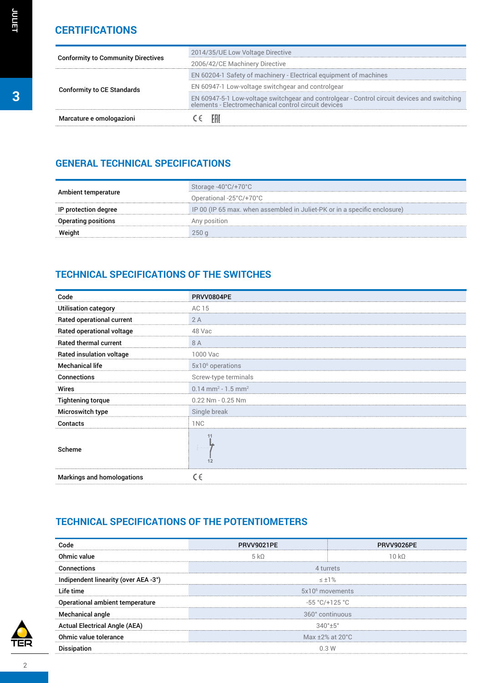| <b>Conformity to Community Directives</b> | 2014/35/UE Low Voltage Directive                                                                                                                 |
|-------------------------------------------|--------------------------------------------------------------------------------------------------------------------------------------------------|
|                                           | 2006/42/CE Machinery Directive                                                                                                                   |
| <b>Conformity to CE Standards</b>         | EN 60204-1 Safety of machinery - Electrical equipment of machines                                                                                |
|                                           | EN 60947-1 Low-voltage switchgear and controlgear                                                                                                |
|                                           | EN 60947-5-1 Low-voltage switchgear and controlgear - Control circuit devices and switching elements - Electromechanical control circuit devices |
| Marcature e omologazioni                  | - EALC                                                                                                                                           |

## **GENERAL TECHNICAL SPECIFICATIONS**

|                      | Storage -40°C/+70°C                                                       |
|----------------------|---------------------------------------------------------------------------|
| Ambient temperature  | Operational -25 $^{\circ}$ C/+70 $^{\circ}$ C                             |
| IP protection degree | IP 00 (IP 65 max. when assembled in Juliet-PK or in a specific enclosure) |
| Operating positions  | Any position                                                              |
| Weight               | 250q                                                                      |

# **TECHNICAL SPECIFICATIONS OF THE SWITCHES**

| Code                         | PRVV0804PE                                   |
|------------------------------|----------------------------------------------|
| <b>Utilisation category</b>  | AC 15                                        |
| Rated operational current    | 2A                                           |
| Rated operational voltage    | 48 Vac                                       |
| <b>Rated thermal current</b> | 8 A                                          |
| Rated insulation voltage     | 1000 Vac                                     |
| <b>Mechanical life</b>       | $5x106$ operations                           |
| <b>Connections</b>           | Screw-type terminals                         |
| Wires                        | $0.14$ mm <sup>2</sup> - 1.5 mm <sup>2</sup> |
| <b>Tightening torque</b>     | $0.22$ Nm - $0.25$ Nm                        |
| Microswitch type             | Single break                                 |
| <b>Contacts</b>              | 1 <sub>NC</sub>                              |
| Scheme                       | 11<br>12                                     |
| Markings and homologations   | CE                                           |

# **TECHNICAL SPECIFICATIONS OF THE POTENTIOMETERS**

| Code                                 | PRVV9021PF                      | PRVV9026PE |  |
|--------------------------------------|---------------------------------|------------|--|
| Ohmic value                          | 5 k <sub>0</sub>                | 10k        |  |
| Connections                          | 4 turrets                       |            |  |
| Indipendent linearity (over AEA -3°) | $-1\%$                          |            |  |
| Life time                            | 5x10 <sup>6</sup> movements     |            |  |
| Operational ambient temperature      | $-55 °C/+125 °C$                |            |  |
| <b>Mechanical angle</b>              | 360° continuous                 |            |  |
| <b>Actual Electrical Angle (AEA)</b> | $340^{\circ}$ +5°               |            |  |
| Ohmic value tolerance                | Max $\pm 2\%$ at $20^{\circ}$ C |            |  |
| <b>Dissipation</b>                   | 0.3W                            |            |  |

**JULIET**

TER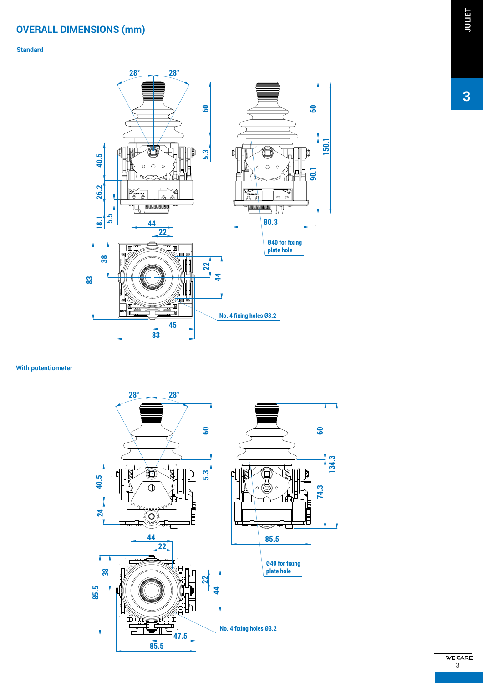## **OVERALL DIMENSIONS (mm)**

### **Standard**



#### **With potentiometer**



# **JULIET**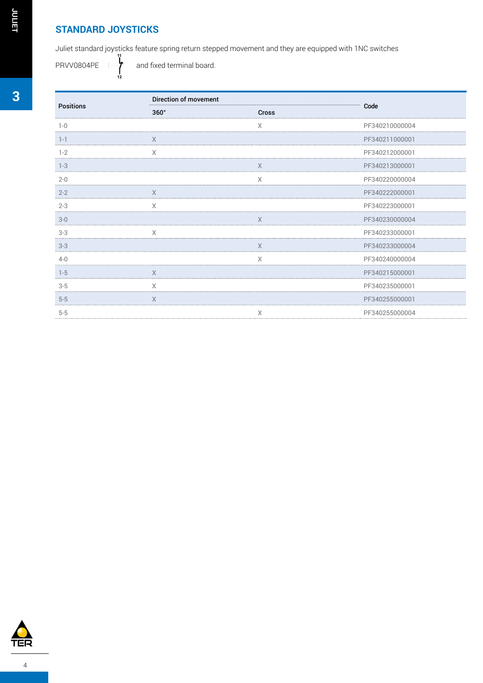### **STANDARD JOYSTICKS**

Juliet standard joysticks feature spring return stepped movement and they are equipped with 1NC switches **11**

and fixed terminal board.

PRVV0804PE **12**

| <b>Positions</b> | Direction of movement       |             |                |
|------------------|-----------------------------|-------------|----------------|
|                  | $360^\circ$<br><b>Cross</b> |             | Code           |
| $1 - 0$          |                             | $\times$    | PF340210000004 |
| $1 - 1$          | $\times$                    |             | PF340211000001 |
| $1 - 2$          | X                           |             | PF340212000001 |
| $1 - 3$          |                             | $\times$    | PF340213000001 |
| $2 - 0$          |                             | $\mathsf X$ | PF340220000004 |
| $2 - 2$          | X                           |             | PF340222000001 |
| $2 - 3$          | $\times$                    |             | PF340223000001 |
| $3-0$            |                             | $\times$    | PF340230000004 |
| $3-3$            | X                           |             | PF340233000001 |
| $3-3$            |                             | $\times$    | PF340233000004 |
| $4 - 0$          |                             | $\times$    | PF340240000004 |
| $1 - 5$          | $\times$                    |             | PF340215000001 |
| $3-5$            | $\times$                    |             | PF340235000001 |
| $5-5$            | $\times$                    |             | PF340255000001 |
| $5-5$            |                             | $\times$    | PF340255000004 |



**3**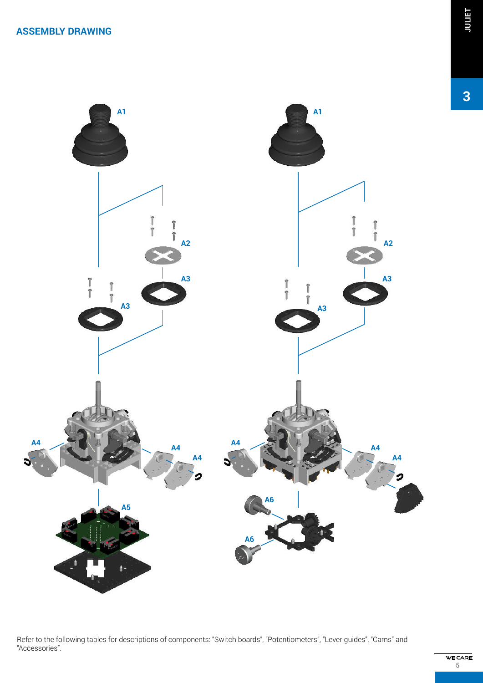

Refer to the following tables for descriptions of components: "Switch boards", "Potentiometers", "Lever guides", "Cams" and "Accessories".

**WE CARE** 5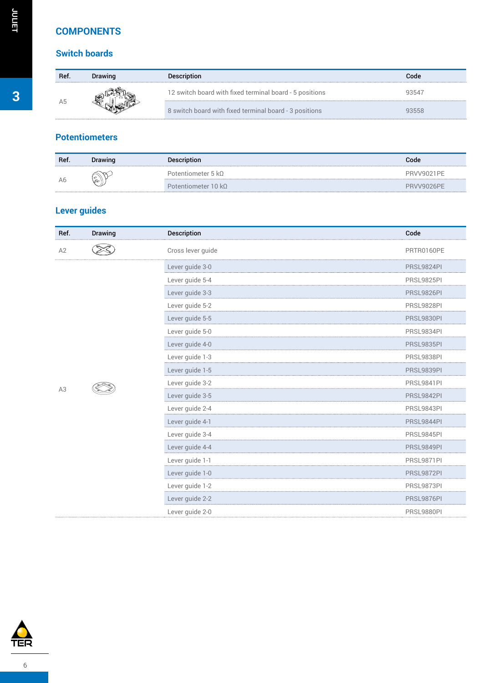### **COMPONENTS**

### **Switch boards**

| Ref | Drawing | <b>Description</b>                                      | Code  |
|-----|---------|---------------------------------------------------------|-------|
|     |         | 12 switch board with fixed terminal board - 5 positions | 93547 |
|     |         | 8 switch board with fixed terminal board - 3 positions  | 93558 |

## **Potentiometers**

| Ref. | Drawing                      | <b>Description</b>         | Code       |
|------|------------------------------|----------------------------|------------|
| A6   | $\infty$<br>$\varphi$<br>80' | Potentiometer 5 k $\Omega$ | PRVV9021PF |
|      |                              | Potentiometer 10 $k\Omega$ | PRVV9026PF |

# **Lever guides**

| Ref. | <b>Drawing</b> | <b>Description</b> | Code              |
|------|----------------|--------------------|-------------------|
| A2   |                | Cross lever guide  | PRTR0160PE        |
|      |                | Lever guide 3-0    | PRSL9824PI        |
|      |                | Lever guide 5-4    | <b>PRSL9825PI</b> |
|      |                | Lever guide 3-3    | PRSL9826PI        |
|      |                | Lever guide 5-2    | PRSL9828PI        |
|      |                | Lever guide 5-5    | PRSL9830PI        |
|      |                | Lever guide 5-0    | PRSL9834PI        |
|      |                | Lever guide 4-0    | <b>PRSL9835PI</b> |
|      |                | Lever guide 1-3    | PRSL9838PI        |
|      |                | Lever guide 1-5    | PRSL9839PI        |
|      |                | Lever guide 3-2    | PRSL9841PI        |
| A3   |                | Lever guide 3-5    | <b>PRSL9842PI</b> |
|      |                | Lever guide 2-4    | PRSL9843PI        |
|      |                | Lever guide 4-1    | PRSL9844PI        |
|      |                | Lever guide 3-4    | PRSL9845PI        |
|      |                | Lever guide 4-4    | PRSL9849PI        |
|      |                | Lever guide 1-1    | PRSL9871PI        |
|      |                | Lever guide 1-0    | <b>PRSL9872PI</b> |
|      |                | Lever guide 1-2    | PRSL9873PI        |
|      |                | Lever guide 2-2    | PRSL9876PI        |
|      |                | Lever guide 2-0    | PRSL9880PI        |



**JULIET**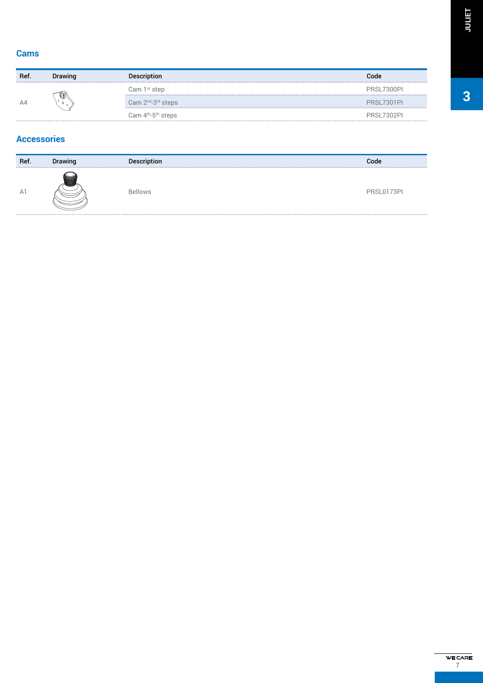| Ref. | <b>Drawing</b> | <b>Description</b>          | Code       |
|------|----------------|-----------------------------|------------|
| A4   | ⋓<br>$\circ$   | Cam 1st step                | PRSL7300PL |
|      |                | Cam $2^{nd} - 3^{rd}$ steps | PRSL7301PL |
|      |                | Cam $4th - 5th$ steps       | PRSL7302PI |

### **Accessories**

| Ref.           | <b>Drawing</b> | <b>Description</b> | Code       |
|----------------|----------------|--------------------|------------|
| A <sup>1</sup> |                | <b>Bellows</b>     | PRSL0173PI |

**3**